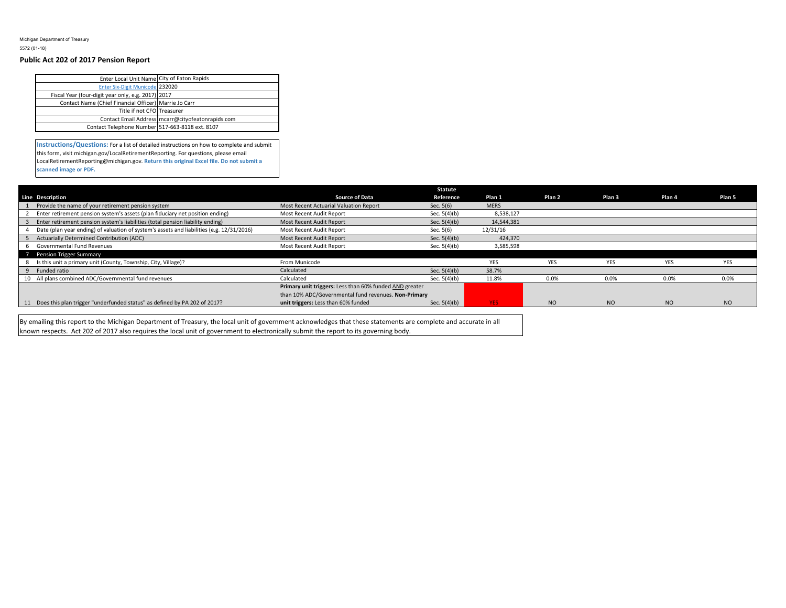Michigan Department of Treasury 5572 (01-18)

## **Public Act 202 of 2017 Pension Report**

| Enter Local Unit Name City of Eaton Rapids            |                                                   |
|-------------------------------------------------------|---------------------------------------------------|
| <b>Enter Six-Digit Municode 232020</b>                |                                                   |
| Fiscal Year (four-digit year only, e.g. 2017) 2017    |                                                   |
| Contact Name (Chief Financial Officer) Marrie Jo Carr |                                                   |
| Title if not CFO Treasurer                            |                                                   |
|                                                       | Contact Email Address mcarr@cityofeatonrapids.com |
| Contact Telephone Number 517-663-8118 ext. 8107       |                                                   |
|                                                       |                                                   |

**Instructions/Questions:** For a list of detailed instructions on how to complete and submit this form, visit michigan.gov/LocalRetirementReporting. For questions, please email LocalRetirementReporting@michigan.gov. **Return this original Excel file. Do not submit a scanned image or PDF.**

|                                                                                           |                                                         | Statute        |             |            |                   |            |            |
|-------------------------------------------------------------------------------------------|---------------------------------------------------------|----------------|-------------|------------|-------------------|------------|------------|
| <b>Line Description</b>                                                                   | <b>Source of Data</b>                                   | Reference      | Plan 1      | Plan 2     | Plan <sub>3</sub> | Plan 4     | Plan 5     |
| Provide the name of your retirement pension system                                        | Most Recent Actuarial Valuation Report                  | Sec. $5(6)$    | <b>MERS</b> |            |                   |            |            |
| Enter retirement pension system's assets (plan fiduciary net position ending)             | Most Recent Audit Report                                | Sec. $5(4)(b)$ | 8,538,127   |            |                   |            |            |
| Enter retirement pension system's liabilities (total pension liability ending)            | Most Recent Audit Report                                | Sec. $5(4)(b)$ | 14,544,381  |            |                   |            |            |
| Date (plan year ending) of valuation of system's assets and liabilities (e.g. 12/31/2016) | Most Recent Audit Report                                | Sec. 5(6)      | 12/31/16    |            |                   |            |            |
| Actuarially Determined Contribution (ADC)                                                 | Most Recent Audit Report                                | Sec. $5(4)(b)$ | 424,370     |            |                   |            |            |
| Governmental Fund Revenues                                                                | Most Recent Audit Report                                | Sec. $5(4)(b)$ | 3,585,598   |            |                   |            |            |
| Pension Trigger Summary                                                                   |                                                         |                |             |            |                   |            |            |
| Is this unit a primary unit (County, Township, City, Village)?                            | From Municode                                           |                | <b>YES</b>  | <b>YES</b> | <b>YES</b>        | <b>YES</b> | <b>YES</b> |
| 9 Funded ratio                                                                            | Calculated                                              | Sec. $5(4)(b)$ | 58.7%       |            |                   |            |            |
| 10 All plans combined ADC/Governmental fund revenues                                      | Calculated                                              | Sec. $5(4)(b)$ | 11.8%       | 0.0%       | 0.0%              | 0.0%       | 0.0%       |
|                                                                                           | Primary unit triggers: Less than 60% funded AND greater |                |             |            |                   |            |            |
|                                                                                           | than 10% ADC/Governmental fund revenues. Non-Primary    |                |             |            |                   |            |            |
| 11 Does this plan trigger "underfunded status" as defined by PA 202 of 2017?              | unit triggers: Less than 60% funded                     | Sec. $5(4)(b)$ | YES:        | <b>NO</b>  | <b>NO</b>         | <b>NO</b>  | <b>NO</b>  |

By emailing this report to the Michigan Department of Treasury, the local unit of government acknowledges that these statements are complete and accurate in all known respects. Act 202 of 2017 also requires the local unit of government to electronically submit the report to its governing body.